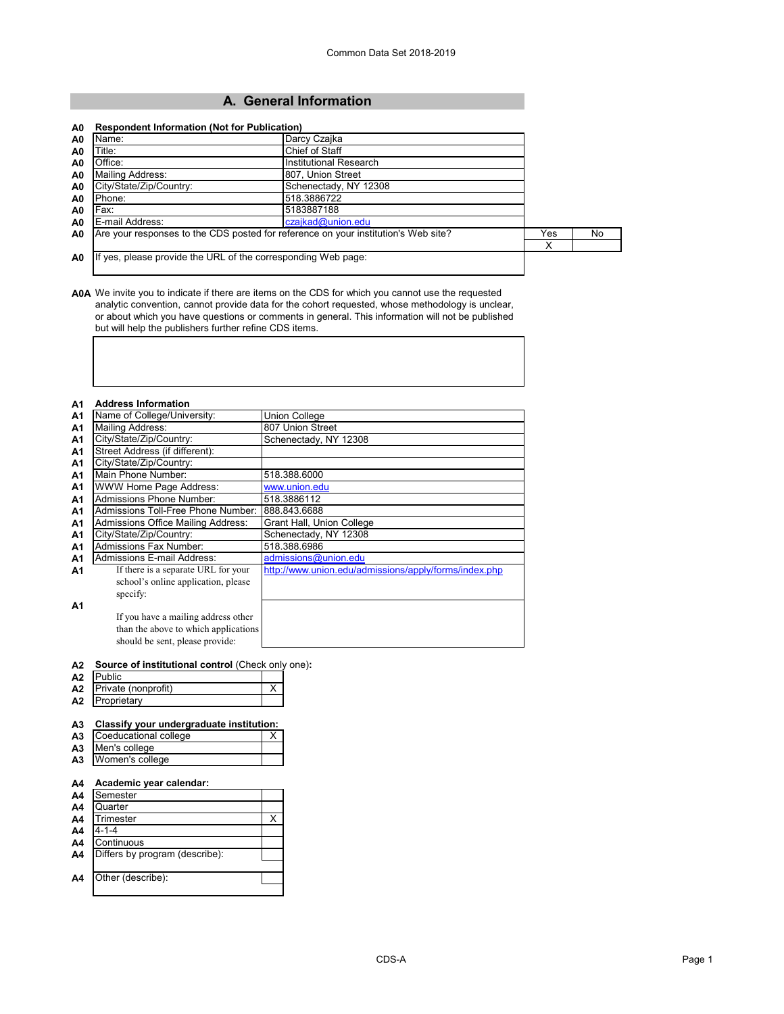# **A. General Information**

| A0             | Name:                                                                              | Darcy Czajka           |     |     |
|----------------|------------------------------------------------------------------------------------|------------------------|-----|-----|
| A <sub>0</sub> | Title:                                                                             | Chief of Staff         |     |     |
| A <sub>0</sub> | Office:                                                                            | Institutional Research |     |     |
| A <sub>0</sub> | Mailing Address:                                                                   | 807. Union Street      |     |     |
| A <sub>0</sub> | City/State/Zip/Country:                                                            | Schenectady, NY 12308  |     |     |
| A <sub>0</sub> | Phone:                                                                             | 518.3886722            |     |     |
| A <sub>0</sub> | Fax:                                                                               | 5183887188             |     |     |
| A <sub>0</sub> | E-mail Address:                                                                    | czajkad@union.edu      |     |     |
| A <sub>0</sub> | Are your responses to the CDS posted for reference on your institution's Web site? |                        | Yes | No. |
|                |                                                                                    |                        | Х   |     |
| A <sub>0</sub> | If yes, please provide the URL of the corresponding Web page:                      |                        |     |     |

**A0A** We invite you to indicate if there are items on the CDS for which you cannot use the requested analytic convention, cannot provide data for the cohort requested, whose methodology is unclear, or about which you have questions or comments in general. This information will not be published but will help the publishers further refine CDS items.

| <b>A1</b>      | <b>Address Information</b>           |                                                       |
|----------------|--------------------------------------|-------------------------------------------------------|
| A1             | Name of College/University:          | <b>Union College</b>                                  |
| A1             | <b>Mailing Address:</b>              | 807 Union Street                                      |
| A <sub>1</sub> | City/State/Zip/Country:              | Schenectady, NY 12308                                 |
| <b>A1</b>      | Street Address (if different):       |                                                       |
| <b>A1</b>      | City/State/Zip/Country:              |                                                       |
| <b>A1</b>      | Main Phone Number:                   | 518.388.6000                                          |
| <b>A1</b>      | WWW Home Page Address:               | www.union.edu                                         |
| A <sub>1</sub> | Admissions Phone Number:             | 518.3886112                                           |
| <b>A1</b>      | Admissions Toll-Free Phone Number:   | 888.843.6688                                          |
| <b>A1</b>      | Admissions Office Mailing Address:   | Grant Hall, Union College                             |
| <b>A1</b>      | City/State/Zip/Country:              | Schenectady, NY 12308                                 |
| A <sub>1</sub> | <b>Admissions Fax Number:</b>        | 518.388.6986                                          |
| A1             | Admissions E-mail Address:           | admissions@union.edu                                  |
| A1             | If there is a separate URL for your  | http://www.union.edu/admissions/apply/forms/index.php |
|                | school's online application, please  |                                                       |
|                | specify:                             |                                                       |
| A1             |                                      |                                                       |
|                | If you have a mailing address other  |                                                       |
|                | than the above to which applications |                                                       |
|                | should be sent, please provide:      |                                                       |

#### **A2 Source of institutional control** (Check only one)**:**

| A2             | blicי <sup>רי</sup> |  |
|----------------|---------------------|--|
| Α2             | Private (nonprofit) |  |
| A <sub>2</sub> | Proprietarv         |  |

### **A3 Classify your undergraduate institution:**

| A <sub>3</sub> | Coeducational college |  |
|----------------|-----------------------|--|
|                | A3 Men's college      |  |
|                | A3 Women's college    |  |

#### **A4 Academic year calendar:**

| A4             | Semester                       |  |
|----------------|--------------------------------|--|
| A4             | Quarter                        |  |
| A4             | Trimester                      |  |
| A4             | 4-1-4                          |  |
| A4             | Continuous                     |  |
| A <sub>4</sub> | Differs by program (describe): |  |
|                |                                |  |
| A4             | Other (describe):              |  |
|                |                                |  |